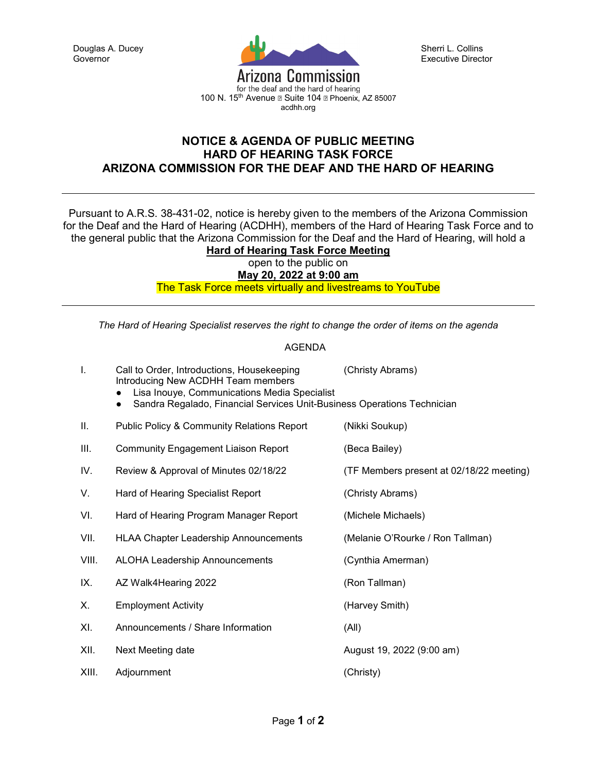

Sherri L. Collins Executive Director

100 N. 15<sup>th</sup> Avenue a Suite 104 a Phoenix, AZ 85007 acdhh.org

## **NOTICE & AGENDA OF PUBLIC MEETING HARD OF HEARING TASK FORCE ARIZONA COMMISSION FOR THE DEAF AND THE HARD OF HEARING**

Pursuant to A.R.S. 38-431-02, notice is hereby given to the members of the Arizona Commission for the Deaf and the Hard of Hearing (ACDHH), members of the Hard of Hearing Task Force and to the general public that the Arizona Commission for the Deaf and the Hard of Hearing, will hold a **Hard of Hearing Task Force Meeting**

open to the public on

**May 20, 2022 at 9:00 am** 

The Task Force meets virtually and livestreams to YouTube

*The Hard of Hearing Specialist reserves the right to change the order of items on the agenda*

## AGENDA

| Τ.    | Call to Order, Introductions, Housekeeping<br>Introducing New ACDHH Team members<br>Lisa Inouye, Communications Media Specialist<br>Sandra Regalado, Financial Services Unit-Business Operations Technician | (Christy Abrams)                         |
|-------|-------------------------------------------------------------------------------------------------------------------------------------------------------------------------------------------------------------|------------------------------------------|
| ΙΙ.   | <b>Public Policy &amp; Community Relations Report</b>                                                                                                                                                       | (Nikki Soukup)                           |
| III.  | <b>Community Engagement Liaison Report</b>                                                                                                                                                                  | (Beca Bailey)                            |
| IV.   | Review & Approval of Minutes 02/18/22                                                                                                                                                                       | (TF Members present at 02/18/22 meeting) |
| V.    | Hard of Hearing Specialist Report                                                                                                                                                                           | (Christy Abrams)                         |
| VI.   | Hard of Hearing Program Manager Report                                                                                                                                                                      | (Michele Michaels)                       |
| VII.  | <b>HLAA Chapter Leadership Announcements</b>                                                                                                                                                                | (Melanie O'Rourke / Ron Tallman)         |
| VIII. | <b>ALOHA Leadership Announcements</b>                                                                                                                                                                       | (Cynthia Amerman)                        |
| IX.   | AZ Walk4Hearing 2022                                                                                                                                                                                        | (Ron Tallman)                            |
| Х.    | <b>Employment Activity</b>                                                                                                                                                                                  | (Harvey Smith)                           |
| XI.   | Announcements / Share Information                                                                                                                                                                           | (All)                                    |
| XII.  | Next Meeting date                                                                                                                                                                                           | August 19, 2022 (9:00 am)                |
| XIII. | Adjournment                                                                                                                                                                                                 | (Christy)                                |